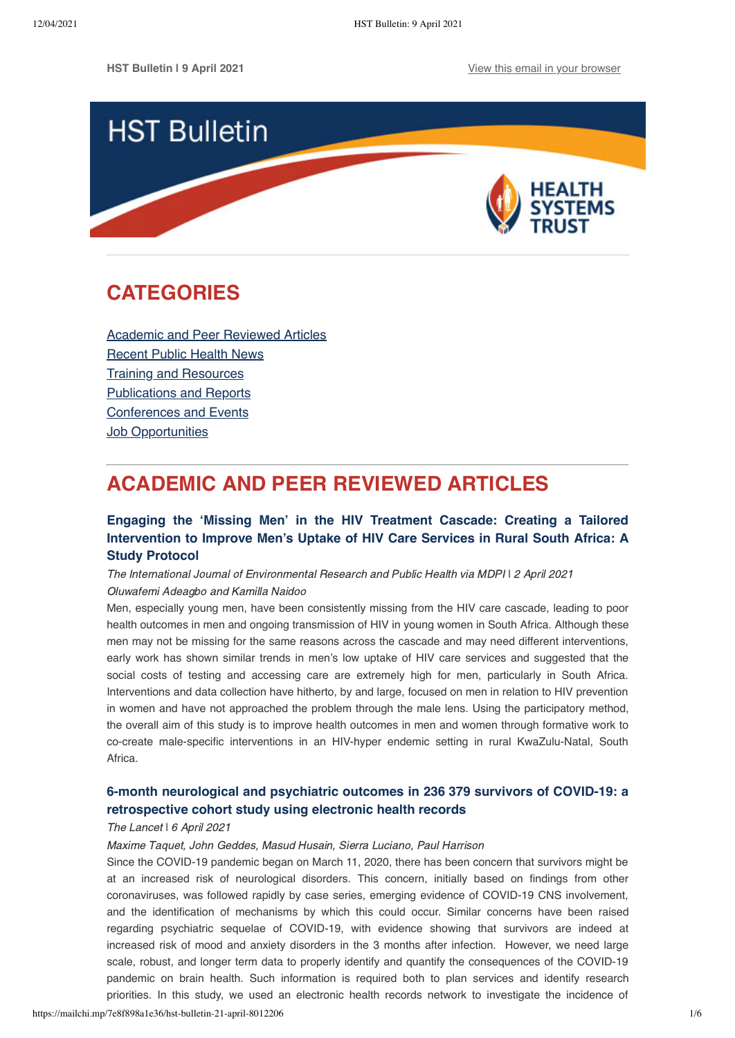

## <span id="page-0-1"></span>**CATEGORIES**

[Academic and Peer Reviewed Articles](#page-0-0) [Recent Public Health News](#page-2-0) Training and Resources [Publications and Reports](#page-3-0) [Conferences and Events](#page-4-0) [Job Opportunities](#page-4-1)

# <span id="page-0-0"></span>**ACADEMIC AND PEER REVIEWED ARTICLES**

## **Engaging the 'Missing Men' in the HIV Treatment Cascade: Creating a Tailored [Intervention to Improve Men's Uptake of HIV Care Services in Rural South Africa: A](https://www.mdpi.com/1660-4601/18/7/3709) Study Protocol**

The International Journal of Environmental Research and Public Health via MDPI | 2 April 2021 Oluwafemi Adeagbo and Kamilla Naidoo

Men, especially young men, have been consistently missing from the HIV care cascade, leading to poor health outcomes in men and ongoing transmission of HIV in young women in South Africa. Although these men may not be missing for the same reasons across the cascade and may need different interventions, early work has shown similar trends in men's low uptake of HIV care services and suggested that the social costs of testing and accessing care are extremely high for men, particularly in South Africa. Interventions and data collection have hitherto, by and large, focused on men in relation to HIV prevention in women and have not approached the problem through the male lens. Using the participatory method, the overall aim of this study is to improve health outcomes in men and women through formative work to co-create male-specific interventions in an HIV-hyper endemic setting in rural KwaZulu-Natal, South Africa.

## **[6-month neurological and psychiatric outcomes in 236 379 survivors of COVID-19: a](https://www.thelancet.com/journals/lanpsy/article/PIIS2215-0366(21)00084-5/fulltext) retrospective cohort study using electronic health records**

#### The Lancet I 6 April 2021

Maxime Taquet, John Geddes, Masud Husain, Sierra Luciano, Paul Harrison

Since the COVID-19 pandemic began on March 11, 2020, there has been concern that survivors might be at an increased risk of neurological disorders. This concern, initially based on findings from other coronaviruses, was followed rapidly by case series, emerging evidence of COVID-19 CNS involvement, and the identification of mechanisms by which this could occur. Similar concerns have been raised regarding psychiatric sequelae of COVID-19, with evidence showing that survivors are indeed at increased risk of mood and anxiety disorders in the 3 months after infection. However, we need large scale, robust, and longer term data to properly identify and quantify the consequences of the COVID-19 pandemic on brain health. Such information is required both to plan services and identify research priorities. In this study, we used an electronic health records network to investigate the incidence of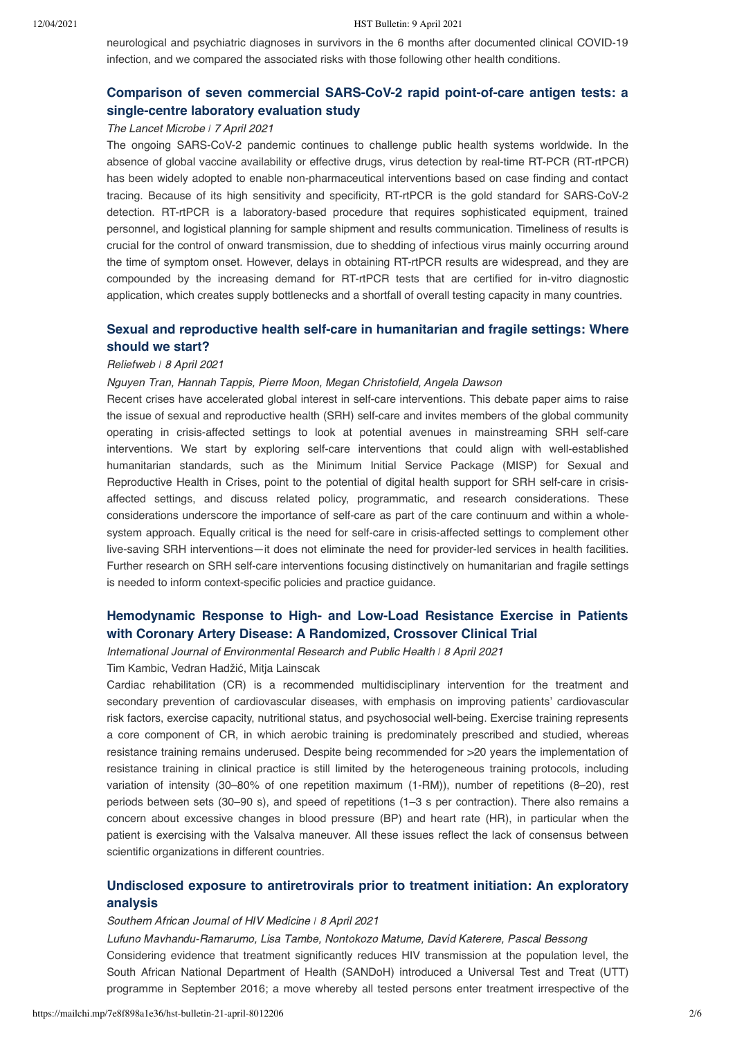neurological and psychiatric diagnoses in survivors in the 6 months after documented clinical COVID-19 infection, and we compared the associated risks with those following other health conditions.

### **[Comparison of seven commercial SARS-CoV-2 rapid point-of-care antigen tests: a](https://www.thelancet.com/journals/lanmic/article/PIIS2666-5247(21)00056-2/fulltext) single-centre laboratory evaluation study**

#### The Lancet Microbe *ǀ* 7 April 2021

The ongoing SARS-CoV-2 pandemic continues to challenge public health systems worldwide. In the absence of global vaccine availability or effective drugs, virus detection by real-time RT-PCR (RT-rtPCR) has been widely adopted to enable non-pharmaceutical interventions based on case finding and contact tracing. Because of its high sensitivity and specificity, RT-rtPCR is the gold standard for SARS-CoV-2 detection. RT-rtPCR is a laboratory-based procedure that requires sophisticated equipment, trained personnel, and logistical planning for sample shipment and results communication. Timeliness of results is crucial for the control of onward transmission, due to shedding of infectious virus mainly occurring around the time of symptom onset. However, delays in obtaining RT-rtPCR results are widespread, and they are compounded by the increasing demand for RT-rtPCR tests that are certified for in-vitro diagnostic application, which creates supply bottlenecks and a shortfall of overall testing capacity in many countries.

## **[Sexual and reproductive health self-care in humanitarian and fragile settings: Where](https://reliefweb.int/sites/reliefweb.int/files/resources/s13031-021-00358-5.pdf) should we start?**

#### Reliefweb *ǀ* 8 April 2021

#### Nguyen Tran, Hannah Tappis, Pierre Moon, Megan Christofield, Angela Dawson

Recent crises have accelerated global interest in self-care interventions. This debate paper aims to raise the issue of sexual and reproductive health (SRH) self-care and invites members of the global community operating in crisis-affected settings to look at potential avenues in mainstreaming SRH self-care interventions. We start by exploring self-care interventions that could align with well-established humanitarian standards, such as the Minimum Initial Service Package (MISP) for Sexual and Reproductive Health in Crises, point to the potential of digital health support for SRH self-care in crisisaffected settings, and discuss related policy, programmatic, and research considerations. These considerations underscore the importance of self-care as part of the care continuum and within a wholesystem approach. Equally critical is the need for self-care in crisis-affected settings to complement other live-saving SRH interventions—it does not eliminate the need for provider-led services in health facilities. Further research on SRH self-care interventions focusing distinctively on humanitarian and fragile settings is needed to inform context-specific policies and practice guidance.

### **[Hemodynamic Response to High- and Low-Load Resistance Exercise in Patients](https://www.mdpi.com/1660-4601/18/8/3905/htm) with Coronary Artery Disease: A Randomized, Crossover Clinical Trial**

International Journal of Environmental Research and Public Health *ǀ* 8 April 2021

Tim Kambic, Vedran Hadžić, Mitja Lainscak

Cardiac rehabilitation (CR) is a recommended multidisciplinary intervention for the treatment and secondary prevention of cardiovascular diseases, with emphasis on improving patients' cardiovascular risk factors, exercise capacity, nutritional status, and psychosocial well-being. Exercise training represents a core component of CR, in which aerobic training is predominately prescribed and studied, whereas resistance training remains underused. Despite being recommended for >20 years the implementation of resistance training in clinical practice is still limited by the heterogeneous training protocols, including variation of intensity (30–80% of one repetition maximum (1-RM)), number of repetitions (8–20), rest periods between sets (30–90 s), and speed of repetitions (1–3 s per contraction). There also remains a concern about excessive changes in blood pressure (BP) and heart rate (HR), in particular when the patient is exercising with the Valsalva maneuver. All these issues reflect the lack of consensus between scientific organizations in different countries.

### **[Undisclosed exposure to antiretrovirals prior to treatment initiation: An exploratory](https://sajhivmed.org.za/index.php/hivmed/article/view/1200/2365) analysis**

#### Southern African Journal of HIV Medicine *ǀ* 8 April 2021

Lufuno Mavhandu-Ramarumo, Lisa Tambe, Nontokozo Matume, David Katerere, Pascal Bessong Considering evidence that treatment significantly reduces HIV transmission at the population level, the South African National Department of Health (SANDoH) introduced a Universal Test and Treat (UTT) programme in September 2016; a move whereby all tested persons enter treatment irrespective of the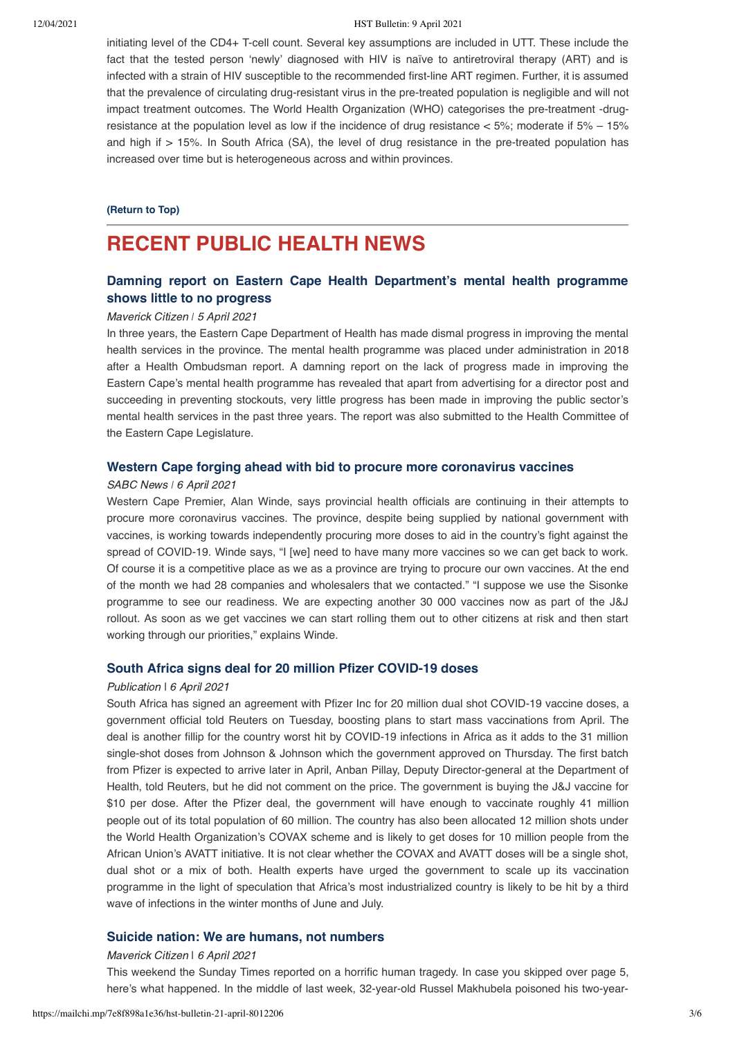#### 12/04/2021 HST Bulletin: 9 April 2021

initiating level of the CD4+ T-cell count. Several key assumptions are included in UTT. These include the fact that the tested person 'newly' diagnosed with HIV is naïve to antiretroviral therapy (ART) and is infected with a strain of HIV susceptible to the recommended first-line ART regimen. Further, it is assumed that the prevalence of circulating drug-resistant virus in the pre-treated population is negligible and will not impact treatment outcomes. The World Health Organization (WHO) categorises the pre-treatment -drugresistance at the population level as low if the incidence of drug resistance < 5%; moderate if 5% – 15% and high if  $> 15$ %. In South Africa (SA), the level of drug resistance in the pre-treated population has increased over time but is heterogeneous across and within provinces.

#### **[\(Return to Top\)](#page-0-1)**

## <span id="page-2-0"></span>**RECENT PUBLIC HEALTH NEWS**

## **[Damning report on Eastern Cape Health Department's mental health programme](https://www.dailymaverick.co.za/article/2021-04-05-damning-report-on-eastern-cape-health-departments-mental-health-programme-shows-little-to-no-progress/) shows little to no progress**

#### Maverick Citizen *ǀ* 5 April 2021

In three years, the Eastern Cape Department of Health has made dismal progress in improving the mental health services in the province. The mental health programme was placed under administration in 2018 after a Health Ombudsman report. A damning report on the lack of progress made in improving the Eastern Cape's mental health programme has revealed that apart from advertising for a director post and succeeding in preventing stockouts, very little progress has been made in improving the public sector's mental health services in the past three years. The report was also submitted to the Health Committee of the Eastern Cape Legislature.

#### **[Western Cape forging ahead with bid to procure more coronavirus vaccines](http://www.sabcnews.com/sabcnews/western-cape-forging-ahead-with-bid-to-procure-more-coronavirus-vaccines/)**

#### SABC News *ǀ* 6 April 2021

Western Cape Premier, Alan Winde, says provincial health officials are continuing in their attempts to procure more coronavirus vaccines. The province, despite being supplied by national government with vaccines, is working towards independently procuring more doses to aid in the country's fight against the spread of COVID-19. Winde says, "I [we] need to have many more vaccines so we can get back to work. Of course it is a competitive place as we as a province are trying to procure our own vaccines. At the end of the month we had 28 companies and wholesalers that we contacted." "I suppose we use the Sisonke programme to see our readiness. We are expecting another 30 000 vaccines now as part of the J&J rollout. As soon as we get vaccines we can start rolling them out to other citizens at risk and then start working through our priorities," explains Winde.

#### **[South Africa signs deal for 20 million Pfizer COVID-19 doses](https://www.reuters.com/article/us-health-coronavirus-safrica-pfizer/south-africa-signs-deal-for-20-million-pfizer-covid-19-doses-idUSKBN2BT0ZM?feedType=mktg&feedName=healthNews&WT.mc_id=Partner-Google)**

#### Publication | 6 April 2021

South Africa has signed an agreement with Pfizer Inc for 20 million dual shot COVID-19 vaccine doses, a government official told Reuters on Tuesday, boosting plans to start mass vaccinations from April. The deal is another fillip for the country worst hit by COVID-19 infections in Africa as it adds to the 31 million single-shot doses from Johnson & Johnson which the government approved on Thursday. The first batch from Pfizer is expected to arrive later in April, Anban Pillay, Deputy Director-general at the Department of Health, told Reuters, but he did not comment on the price. The government is buying the J&J vaccine for \$10 per dose. After the Pfizer deal, the government will have enough to vaccinate roughly 41 million people out of its total population of 60 million. The country has also been allocated 12 million shots under the World Health Organization's COVAX scheme and is likely to get doses for 10 million people from the African Union's AVATT initiative. It is not clear whether the COVAX and AVATT doses will be a single shot, dual shot or a mix of both. Health experts have urged the government to scale up its vaccination programme in the light of speculation that Africa's most industrialized country is likely to be hit by a third wave of infections in the winter months of June and July.

#### **[Suicide nation: We are humans, not numbers](https://www.dailymaverick.co.za/article/2021-04-06-suicide-nation-we-are-humans-not-numbers/)**

#### Maverick Citizen | 6 April 2021

This weekend the Sunday Times reported on a horrific human tragedy. In case you skipped over page 5, here's what happened. In the middle of last week, 32-year-old Russel Makhubela poisoned his two-year-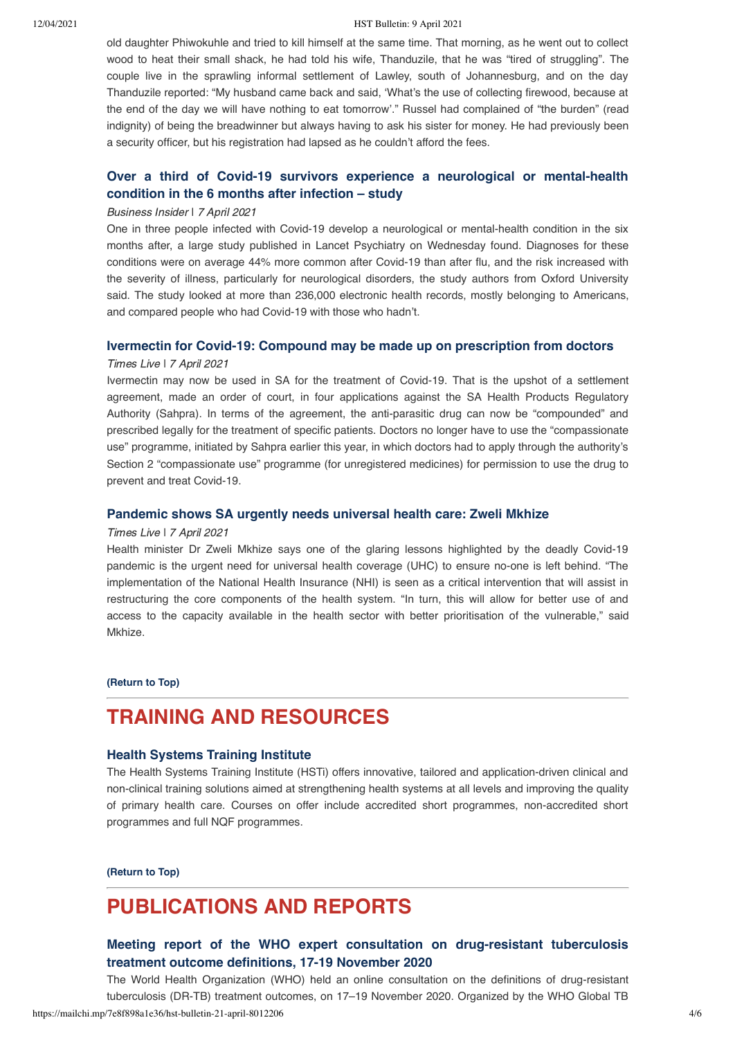#### 12/04/2021 HST Bulletin: 9 April 2021

old daughter Phiwokuhle and tried to kill himself at the same time. That morning, as he went out to collect wood to heat their small shack, he had told his wife. Thanduzile, that he was "tired of struggling". The couple live in the sprawling informal settlement of Lawley, south of Johannesburg, and on the day Thanduzile reported: "My husband came back and said, 'What's the use of collecting firewood, because at the end of the day we will have nothing to eat tomorrow'." Russel had complained of "the burden" (read indignity) of being the breadwinner but always having to ask his sister for money. He had previously been a security officer, but his registration had lapsed as he couldn't afford the fees.

## **[Over a third of Covid-19 survivors experience a neurological or mental-health](https://www.businessinsider.co.za/one-third-neurological-mental-health-condition-6-month-after-covid-2021-4) condition in the 6 months after infection – study**

#### Business Insider | 7 April 2021

One in three people infected with Covid-19 develop a neurological or mental-health condition in the six months after, a large study published in Lancet Psychiatry on Wednesday found. Diagnoses for these conditions were on average 44% more common after Covid-19 than after flu, and the risk increased with the severity of illness, particularly for neurological disorders, the study authors from Oxford University said. The study looked at more than 236,000 electronic health records, mostly belonging to Americans, and compared people who had Covid-19 with those who hadn't.

#### **[Ivermectin for Covid-19: Compound may be made up on prescription from doctors](https://www.timeslive.co.za/news/south-africa/2021-04-07-ivermectin-for-covid-19-compound-may-be-made-up-on-prescription-from-doctors/)**

#### Times Live | 7 April 2021

Ivermectin may now be used in SA for the treatment of Covid-19. That is the upshot of a settlement agreement, made an order of court, in four applications against the SA Health Products Regulatory Authority (Sahpra). In terms of the agreement, the anti-parasitic drug can now be "compounded" and prescribed legally for the treatment of specific patients. Doctors no longer have to use the "compassionate use" programme, initiated by Sahpra earlier this year, in which doctors had to apply through the authority's Section 2 "compassionate use" programme (for unregistered medicines) for permission to use the drug to prevent and treat Covid-19.

#### **[Pandemic shows SA urgently needs universal health care: Zweli Mkhize](https://www.timeslive.co.za/politics/2021-04-07-pandemic-shows-sa-urgently-needs-universal-health-care-zweli-mkhize/)**

#### Times Live | 7 April 2021

Health minister Dr Zweli Mkhize says one of the glaring lessons highlighted by the deadly Covid-19 pandemic is the urgent need for universal health coverage (UHC) to ensure no-one is left behind. "The implementation of the National Health Insurance (NHI) is seen as a critical intervention that will assist in restructuring the core components of the health system. "In turn, this will allow for better use of and access to the capacity available in the health sector with better prioritisation of the vulnerable," said Mkhize.

#### **[\(Return to Top\)](#page-0-1)**

## <span id="page-3-0"></span>**TRAINING AND RESOURCES**

#### **[Health Systems Training Institute](http://www.hstinstitute.co.za/)**

The Health Systems Training Institute (HSTi) offers innovative, tailored and application-driven clinical and non-clinical training solutions aimed at strengthening health systems at all levels and improving the quality of primary health care. Courses on offer include accredited short programmes, non-accredited short programmes and full NQF programmes.

**[\(Return to Top\)](#page-0-1)**

## **PUBLICATIONS AND REPORTS**

## **[Meeting report of the WHO expert consultation on drug-resistant tuberculosis](https://www.who.int/publications/i/item/9789240022195) treatment outcome definitions, 17-19 November 2020**

The World Health Organization (WHO) held an online consultation on the definitions of drug-resistant tuberculosis (DR-TB) treatment outcomes, on 17–19 November 2020. Organized by the WHO Global TB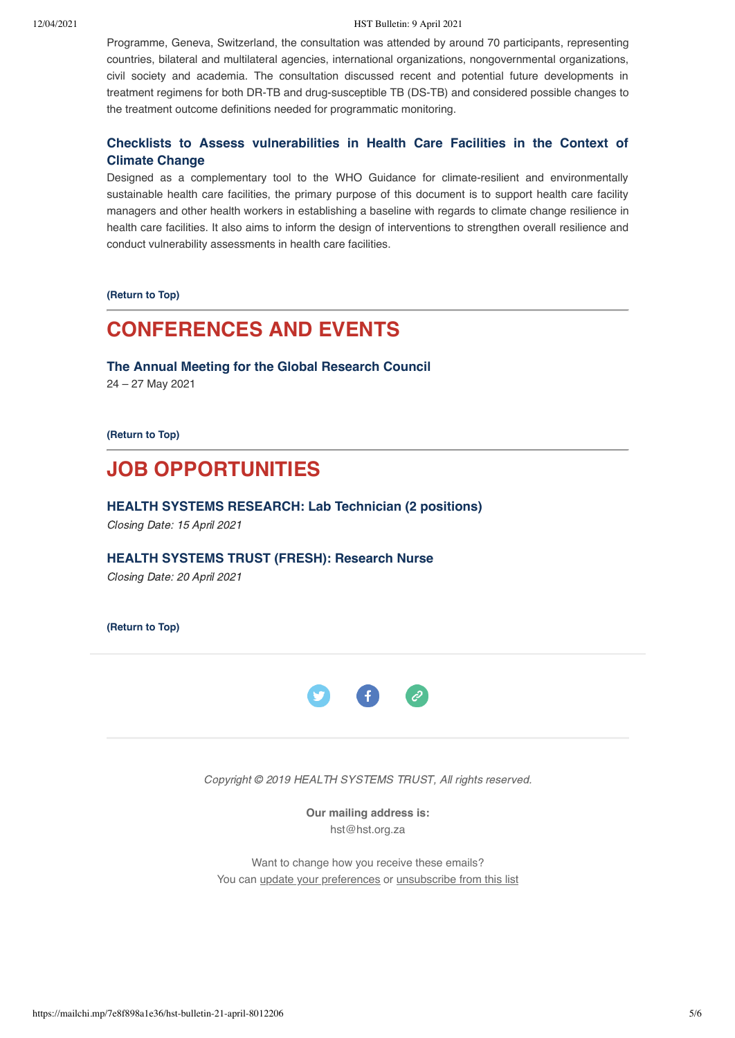12/04/2021 HST Bulletin: 9 April 2021

Programme, Geneva, Switzerland, the consultation was attended by around 70 participants, representing countries, bilateral and multilateral agencies, international organizations, nongovernmental organizations, civil society and academia. The consultation discussed recent and potential future developments in treatment regimens for both DR-TB and drug-susceptible TB (DS-TB) and considered possible changes to the treatment outcome definitions needed for programmatic monitoring.

## **[Checklists to Assess vulnerabilities in Health Care Facilities in the Context of](https://www.who.int/publications/i/item/checklists-vulnerabilities-health-care-facilities-climate-change) Climate Change**

Designed as a complementary tool to the WHO Guidance for climate-resilient and environmentally sustainable health care facilities, the primary purpose of this document is to support health care facility managers and other health workers in establishing a baseline with regards to climate change resilience in health care facilities. It also aims to inform the design of interventions to strengthen overall resilience and conduct vulnerability assessments in health care facilities.

**[\(Return to Top\)](#page-0-1)**

# <span id="page-4-0"></span>**CONFERENCES AND EVENTS**

**[The Annual Meeting for the Global Research Council](https://10times.com/e1sk-39p0-6dfs)**

24 – 27 May 2021

**[\(Return to Top\)](#page-0-1)**

# <span id="page-4-1"></span>**JOB OPPORTUNITIES**

**[HEALTH SYSTEMS RESEARCH: Lab Technician \(2 positions\)](https://www.hst.org.za/Pages/Lab-Technician-(HSR).aspx)** Closing Date: 15 April 2021

**[HEALTH SYSTEMS TRUST \(FRESH\): Research Nurse](https://www.hst.org.za/Pages/PoResearch-Nurse-HST.aspx)**

Closing Date: 20 April 2021

**[\(Return to Top\)](#page-0-1)**



Copyright © 2019 HEALTH SYSTEMS TRUST, All rights reserved.

**Our mailing address is:** hst@hst.org.za

Want to change how you receive these emails? You can [update your preferences](https://hst.us14.list-manage.com/profile?u=72d7614ab973e486252cafb97&id=ac4ca52ce0&e=[UNIQID]&c=39200c059b) or [unsubscribe from this list](https://hst.us14.list-manage.com/unsubscribe?u=72d7614ab973e486252cafb97&id=ac4ca52ce0&e=[UNIQID]&c=39200c059b)